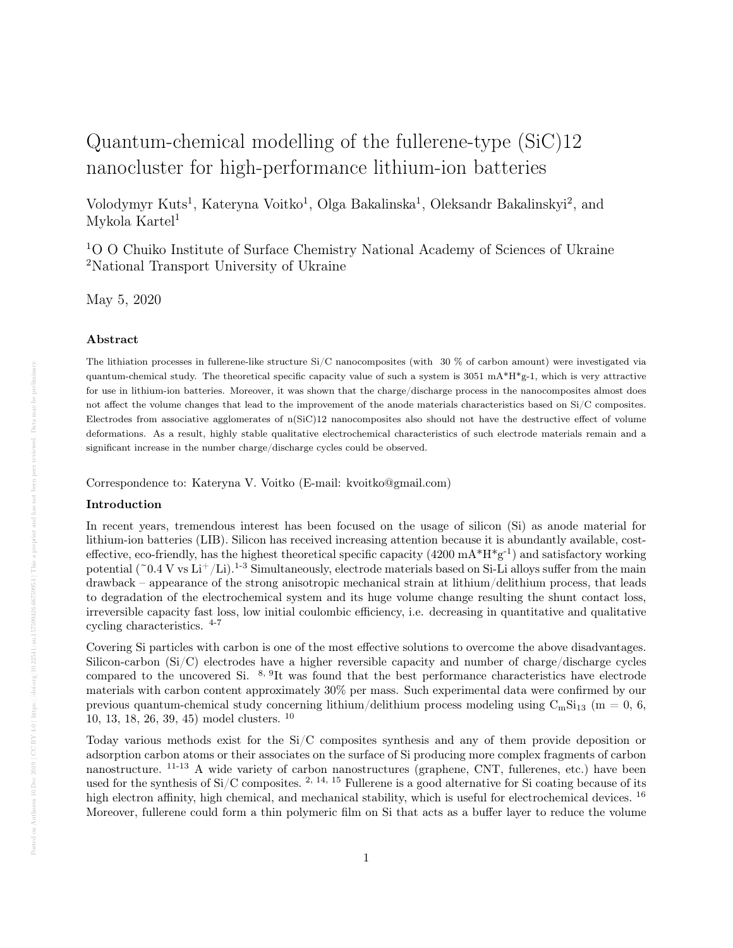# Quantum-chemical modelling of the fullerene-type (SiC)12 nanocluster for high-performance lithium-ion batteries

Volodymyr Kuts<sup>1</sup>, Kateryna Voitko<sup>1</sup>, Olga Bakalinska<sup>1</sup>, Oleksandr Bakalinskyi<sup>2</sup>, and Mykola Kartel<sup>1</sup>

<sup>1</sup>O O Chuiko Institute of Surface Chemistry National Academy of Sciences of Ukraine <sup>2</sup>National Transport University of Ukraine

May 5, 2020

## Abstract

The lithiation processes in fullerene-like structure Si/C nanocomposites (with 30 % of carbon amount) were investigated via quantum-chemical study. The theoretical specific capacity value of such a system is  $3051 \text{ mA}^* \text{H}^* \text{g-1}$ , which is very attractive for use in lithium-ion batteries. Moreover, it was shown that the charge/discharge process in the nanocomposites almost does not affect the volume changes that lead to the improvement of the anode materials characteristics based on Si/C composites. Electrodes from associative agglomerates of n(SiC)12 nanocomposites also should not have the destructive effect of volume deformations. As a result, highly stable qualitative electrochemical characteristics of such electrode materials remain and a significant increase in the number charge/discharge cycles could be observed.

Correspondence to: Kateryna V. Voitko (E-mail: kvoitko@gmail.com)

## Introduction

In recent years, tremendous interest has been focused on the usage of silicon (Si) as anode material for lithium-ion batteries (LIB). Silicon has received increasing attention because it is abundantly available, costeffective, eco-friendly, has the highest theoretical specific capacity  $(4200 \text{ mA}^* \text{H}^* \text{g}^{-1})$  and satisfactory working potential ( $\degree$ 0.4 V vs Li<sup>+</sup>/Li).<sup>1-3</sup> Simultaneously, electrode materials based on Si-Li alloys suffer from the main drawback – appearance of the strong anisotropic mechanical strain at lithium/delithium process, that leads to degradation of the electrochemical system and its huge volume change resulting the shunt contact loss, irreversible capacity fast loss, low initial coulombic efficiency, i.e. decreasing in quantitative and qualitative cycling characteristics. 4-7

Covering Si particles with carbon is one of the most effective solutions to overcome the above disadvantages. Silicon-carbon (Si/C) electrodes have a higher reversible capacity and number of charge/discharge cycles compared to the uncovered Si.  $8,9$ It was found that the best performance characteristics have electrode materials with carbon content approximately 30% per mass. Such experimental data were confirmed by our previous quantum-chemical study concerning lithium/delithium process modeling using  $C_mSi_{13}$  (m = 0, 6, 10, 13, 18, 26, 39, 45) model clusters. <sup>10</sup>

Today various methods exist for the Si/C composites synthesis and any of them provide deposition or adsorption carbon atoms or their associates on the surface of Si producing more complex fragments of carbon nanostructure. 11-13 A wide variety of carbon nanostructures (graphene, CNT, fullerenes, etc.) have been used for the synthesis of  $Si/C$  composites. <sup>2, 14, 15</sup> Fullerene is a good alternative for Si coating because of its high electron affinity, high chemical, and mechanical stability, which is useful for electrochemical devices. <sup>16</sup> Moreover, fullerene could form a thin polymeric film on Si that acts as a buffer layer to reduce the volume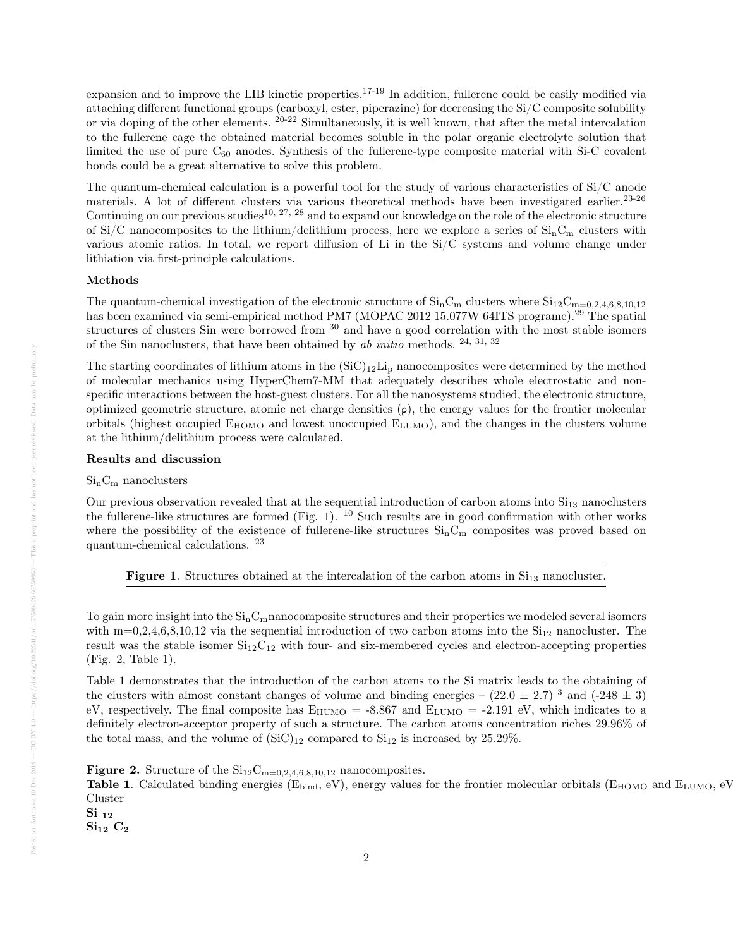expansion and to improve the LIB kinetic properties.<sup>17-19</sup> In addition, fullerene could be easily modified via attaching different functional groups (carboxyl, ester, piperazine) for decreasing the Si/C composite solubility or via doping of the other elements. 20-22 Simultaneously, it is well known, that after the metal intercalation to the fullerene cage the obtained material becomes soluble in the polar organic electrolyte solution that limited the use of pure  $C_{60}$  anodes. Synthesis of the fullerene-type composite material with Si-C covalent bonds could be a great alternative to solve this problem.

The quantum-chemical calculation is a powerful tool for the study of various characteristics of Si/C anode materials. A lot of different clusters via various theoretical methods have been investigated earlier.<sup>23-26</sup> Continuing on our previous studies<sup>10, 27, 28</sup> and to expand our knowledge on the role of the electronic structure of Si/C nanocomposites to the lithium/delithium process, here we explore a series of  $\rm Si_{n}C_{m}$  clusters with various atomic ratios. In total, we report diffusion of Li in the Si/C systems and volume change under lithiation via first-principle calculations.

## Methods

The quantum-chemical investigation of the electronic structure of  $\rm{Si}_{n}C_{m}$  clusters where  $\rm{Si}_{12}C_{m=0.2,4,6,8,10,12}$ has been examined via semi-empirical method PM7 (MOPAC 2012 15.077W 64ITS programe).<sup>29</sup> The spatial structures of clusters Sin were borrowed from <sup>30</sup> and have a good correlation with the most stable isomers of the Sin nanoclusters, that have been obtained by  $ab$  initio methods.  $24, 31, 32$ 

The starting coordinates of lithium atoms in the  $(SiC)_{12}Li_p$  nanocomposites were determined by the method of molecular mechanics using НyperChem7-ММ that adequately describes whole electrostatic and nonspecific interactions between the host-guest clusters. For all the nanosystems studied, the electronic structure, optimized geometric structure, atomic net charge densities  $(\rho)$ , the energy values for the frontier molecular orbitals (highest occupied  $E_{HOMO}$  and lowest unoccupied  $E_{LUMO}$ ), and the changes in the clusters volume at the lithium/delithium process were calculated.

## Results and discussion

## $Si_nC_m$  nanoclusters

Our previous observation revealed that at the sequential introduction of carbon atoms into  $Si<sub>13</sub>$  nanoclusters the fullerene-like structures are formed (Fig. 1).  $^{10}$  Such results are in good confirmation with other works where the possibility of the existence of fullerene-like structures  $Si_nC_m$  composites was proved based on quantum-chemical calculations. <sup>23</sup>

Figure 1. Structures obtained at the intercalation of the carbon atoms in  $Si<sub>13</sub>$  nanocluster.

To gain more insight into the  $\rm Si_{n}C_{m}$ nanocomposite structures and their properties we modeled several isomers with  $m=0,2,4,6,8,10,12$  via the sequential introduction of two carbon atoms into the  $Si<sub>12</sub>$  nanocluster. The result was the stable isomer  $Si<sub>12</sub>C<sub>12</sub>$  with four- and six-membered cycles and electron-accepting properties (Fig. 2, Table 1).

Table 1 demonstrates that the introduction of the carbon atoms to the Si matrix leads to the obtaining of the clusters with almost constant changes of volume and binding energies –  $(22.0 \pm 2.7)^3$  and  $(-248 \pm 3)$ eV, respectively. The final composite has  $E_{\text{HUMO}} = -8.867$  and  $E_{\text{LUMO}} = -2.191$  eV, which indicates to a definitely electron-acceptor property of such a structure. The carbon atoms concentration riches 29.96% of the total mass, and the volume of  $(SiC)_{12}$  compared to  $Si<sub>12</sub>$  is increased by 25.29%.

 ${\rm Si}_{12}$   ${\rm C}_2$ 

**Figure 2.** Structure of the  $\text{Si}_{12}\text{C}_{\text{m}=0,2,4,6,8,10,12}$  nanocomposites.

**Figure 2.** Structure of the  $Si_{12}C_{m=0,2,4,6,8,10,12}$  nanocomposites.<br>**Table 1**. Calculated binding energies ( $E_{bind}$ , eV), energy values for the frontier molecular orbitals ( $E_{HOMO}$  and  $E_{LUMO}$ , eV)  $Cluster$ 

 $\rm Si$   $_{12}$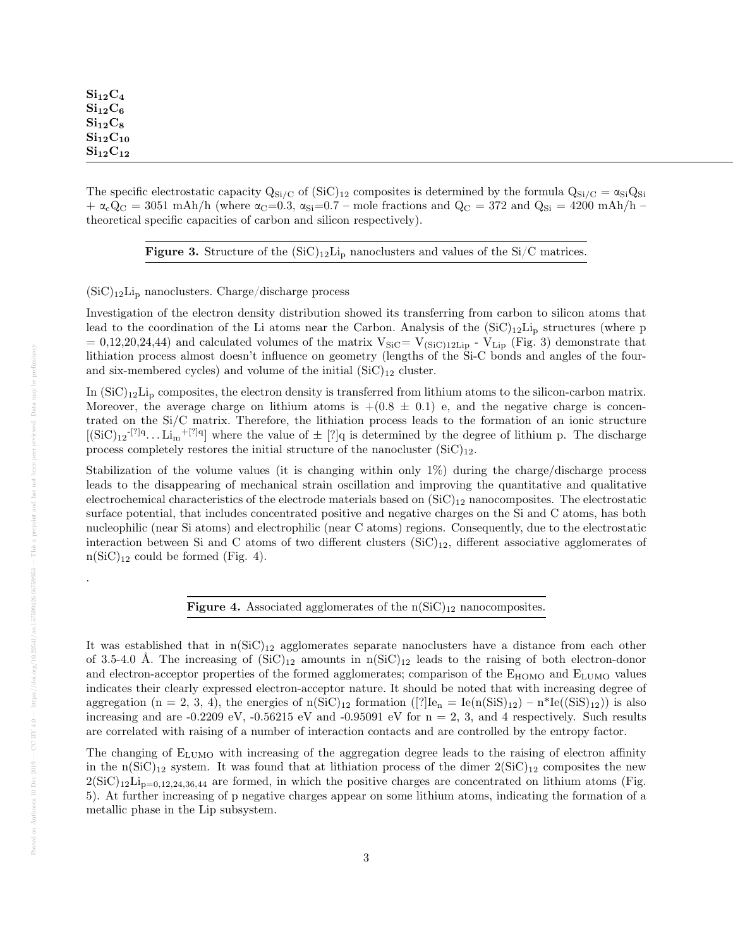The specific electrostatic capacity  $Q_{Si/C}$  of  $(SiC)_{12}$  composites is determined by the formula  $Q_{Si/C} = \alpha_{Si}Q_{Si}$  $+\alpha_{\rm c}Q_{\rm C} = 3051 \text{ m/h/h}$  (where  $\alpha_{\rm C}=0.3$ ,  $\alpha_{\rm Si}=0.7$  – mole fractions and  $Q_{\rm C} = 372$  and  $Q_{\rm Si} = 4200 \text{ m/h/h/h}$ theoretical specific capacities of carbon and silicon respectively).

**Figure 3.** Structure of the  $(SiC)_{12}Li_p$  nanoclusters and values of the Si/C matrices.

 $(SiC)<sub>12</sub>Li<sub>p</sub>$  nanoclusters. Charge/discharge process

Investigation of the electron density distribution showed its transferring from carbon to silicon atoms that lead to the coordination of the Li atoms near the Carbon. Analysis of the  $(SiC)_{12}Li_p$  structures (where p  $= 0.12,20,24,44$  and calculated volumes of the matrix  $V_{\text{SiC}}= V_{\text{(SiC)}12\text{Lip}}$  -  $V_{\text{Lip}}$  (Fig. 3) demonstrate that lithiation process almost doesn't influence on geometry (lengths of the Si-C bonds and angles of the fourand six-membered cycles) and volume of the initial  $(SiC)_{12}$  cluster.

In  $(SiC)_{12}Li_D$  composites, the electron density is transferred from lithium atoms to the silicon-carbon matrix. Moreover, the average charge on lithium atoms is  $+(0.8 \pm 0.1)$  e, and the negative charge is concentrated on the Si/C matrix. Therefore, the lithiation process leads to the formation of an ionic structure  $[(SiC)<sub>12</sub><sup>-[?]q</sup>... Li<sub>m</sub><sup>+[?]q</sup>]$  where the value of  $\pm$  [?]q is determined by the degree of lithium p. The discharge process completely restores the initial structure of the nanocluster  $(SiC)_{12}$ .

Stabilization of the volume values (it is changing within only 1%) during the charge/discharge process leads to the disappearing of mechanical strain oscillation and improving the quantitative and qualitative electrochemical characteristics of the electrode materials based on  $(SiC)_{12}$  nanocomposites. The electrostatic surface potential, that includes concentrated positive and negative charges on the Si and C atoms, has both nucleophilic (near Si atoms) and electrophilic (near C atoms) regions. Consequently, due to the electrostatic interaction between Si and C atoms of two different clusters  $(SiC)_{12}$ , different associative agglomerates of  $n(SiC)<sub>12</sub>$  could be formed (Fig. 4).

Figure 4. Associated agglomerates of the  $n(SiC)<sub>12</sub>$  nanocomposites.

It was established that in  $n(SiC)<sub>12</sub>$  agglomerates separate nanoclusters have a distance from each other of 3.5-4.0 Å. The increasing of  $(SiC)_{12}$  amounts in  $n(SiC)_{12}$  leads to the raising of both electron-donor and electron-acceptor properties of the formed agglomerates; comparison of the  $E_{HOMO}$  and  $E_{LUMO}$  values indicates their clearly expressed electron-acceptor nature. It should be noted that with increasing degree of aggregation (n = 2, 3, 4), the energies of  $n(SiC)_{12}$  formation ([?] $Ie_n = Ie(n(SiS)_{12}) - n*Ie((SiS)_{12})$ ) is also increasing and are -0.2209 eV, -0.56215 eV and -0.95091 eV for  $n = 2$ , 3, and 4 respectively. Such results are correlated with raising of a number of interaction contacts and are controlled by the entropy factor.

The changing of  $E_{LUMO}$  with increasing of the aggregation degree leads to the raising of electron affinity in the n(SiC)<sub>12</sub> system. It was found that at lithiation process of the dimer  $2(SiC)_{12}$  composites the new  $2(SiC)_{12}Li_{p=0,12,24,36,44}$  are formed, in which the positive charges are concentrated on lithium atoms (Fig. 5). At further increasing of p negative charges appear on some lithium atoms, indicating the formation of a metallic phase in the Lip subsystem.

.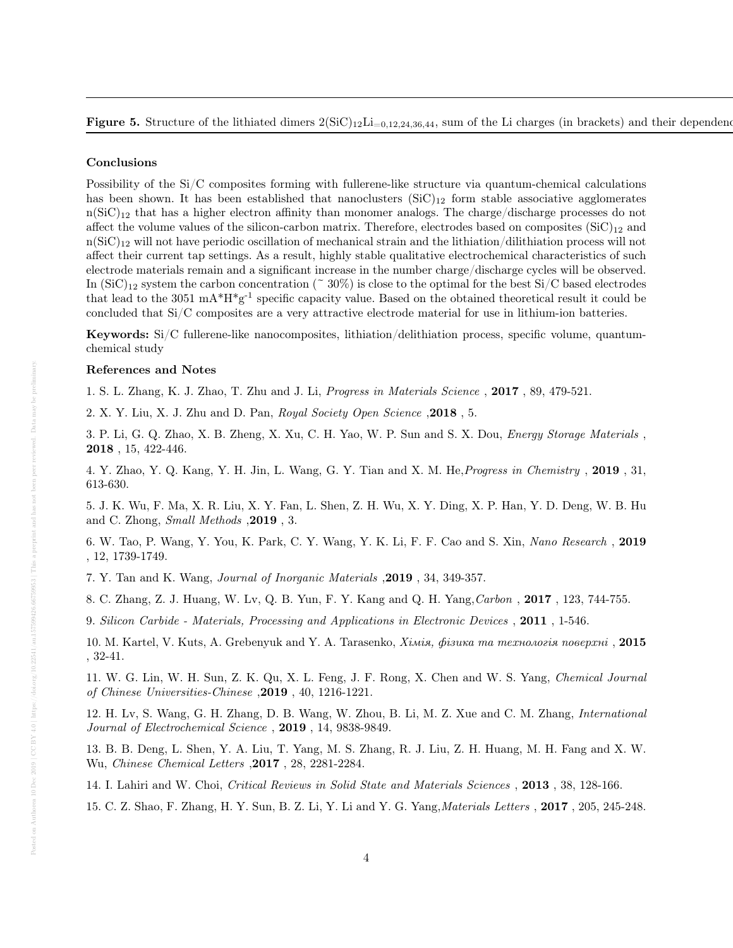#### Conclusions

Possibility of the Si/C composites forming with fullerene-like structure via quantum-chemical calculations has been shown. It has been established that nanoclusters  $(SiC)_{12}$  form stable associative agglomerates  $n(SiC)<sub>12</sub>$  that has a higher electron affinity than monomer analogs. The charge/discharge processes do not affect the volume values of the silicon-carbon matrix. Therefore, electrodes based on composites  $(SiC)_{12}$  and  $n(SiC)_{12}$  will not have periodic oscillation of mechanical strain and the lithiation/dilithiation process will not affect their current tap settings. As a result, highly stable qualitative electrochemical characteristics of such electrode materials remain and a significant increase in the number charge/discharge cycles will be observed. In  $(SiC)_{12}$  system the carbon concentration ( $\degree$  30%) is close to the optimal for the best Si/C based electrodes that lead to the 3051 mA $*H*g^{-1}$  specific capacity value. Based on the obtained theoretical result it could be concluded that Si/C composites are a very attractive electrode material for use in lithium-ion batteries.

Keywords: Si/C fullerene-like nanocomposites, lithiation/delithiation process, specific volume, quantumchemical study

## References and Notes

1. S. L. Zhang, K. J. Zhao, T. Zhu and J. Li, Progress in Materials Science , 2017 , 89, 479-521.

2. X. Y. Liu, X. J. Zhu and D. Pan, Royal Society Open Science ,2018 , 5.

3. P. Li, G. Q. Zhao, X. B. Zheng, X. Xu, C. H. Yao, W. P. Sun and S. X. Dou, Energy Storage Materials , 2018 , 15, 422-446.

4. Y. Zhao, Y. Q. Kang, Y. H. Jin, L. Wang, G. Y. Tian and X. M. He,Progress in Chemistry , 2019 , 31, 613-630.

5. J. K. Wu, F. Ma, X. R. Liu, X. Y. Fan, L. Shen, Z. H. Wu, X. Y. Ding, X. P. Han, Y. D. Deng, W. B. Hu and C. Zhong, Small Methods ,2019 , 3.

6. W. Tao, P. Wang, Y. You, K. Park, C. Y. Wang, Y. K. Li, F. F. Cao and S. Xin, Nano Research , 2019 , 12, 1739-1749.

7. Y. Tan and K. Wang, Journal of Inorganic Materials ,2019 , 34, 349-357.

8. C. Zhang, Z. J. Huang, W. Lv, Q. B. Yun, F. Y. Kang and Q. H. Yang,Carbon , 2017 , 123, 744-755.

9. Silicon Carbide - Materials, Processing and Applications in Electronic Devices , 2011 , 1-546.

10. M. Kartel, V. Kuts, A. Grebenyuk and Y. A. Tarasenko, Хiмiя, фiзика та технологiя поверхнi , 2015 , 32-41.

11. W. G. Lin, W. H. Sun, Z. K. Qu, X. L. Feng, J. F. Rong, X. Chen and W. S. Yang, Chemical Journal of Chinese Universities-Chinese ,2019 , 40, 1216-1221.

12. H. Lv, S. Wang, G. H. Zhang, D. B. Wang, W. Zhou, B. Li, M. Z. Xue and C. M. Zhang, International Journal of Electrochemical Science , 2019 , 14, 9838-9849.

13. B. B. Deng, L. Shen, Y. A. Liu, T. Yang, M. S. Zhang, R. J. Liu, Z. H. Huang, M. H. Fang and X. W. Wu, Chinese Chemical Letters ,2017 , 28, 2281-2284.

14. I. Lahiri and W. Choi, Critical Reviews in Solid State and Materials Sciences , 2013 , 38, 128-166.

15. C. Z. Shao, F. Zhang, H. Y. Sun, B. Z. Li, Y. Li and Y. G. Yang,Materials Letters , 2017 , 205, 245-248.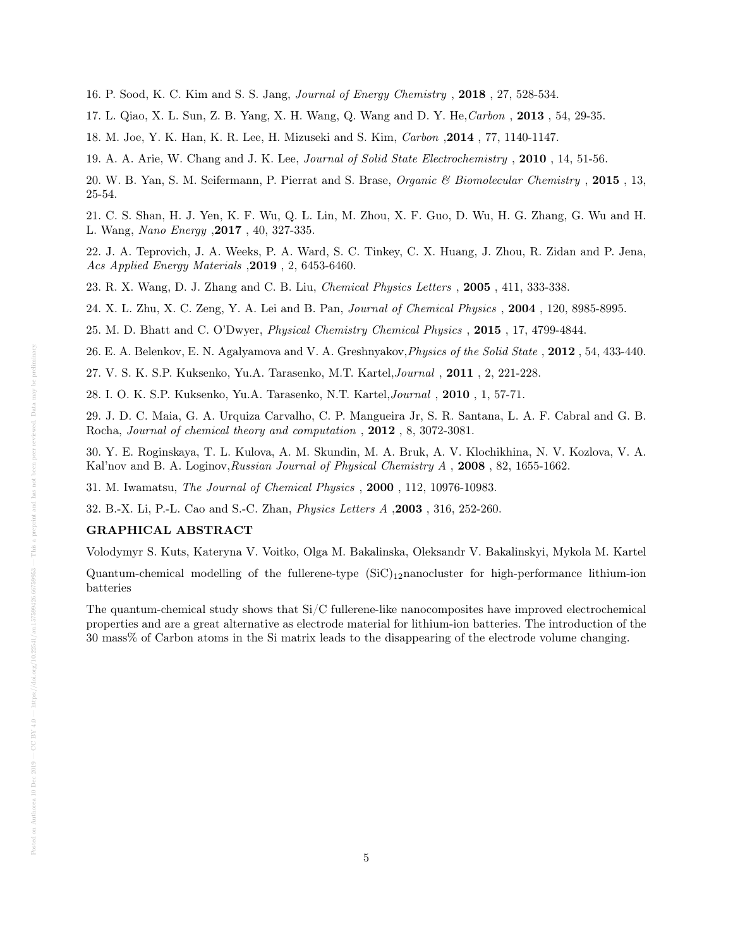16. P. Sood, K. C. Kim and S. S. Jang, Journal of Energy Chemistry , 2018 , 27, 528-534.

17. L. Qiao, X. L. Sun, Z. B. Yang, X. H. Wang, Q. Wang and D. Y. He, Carbon, 2013, 54, 29-35.

18. M. Joe, Y. K. Han, K. R. Lee, H. Mizuseki and S. Kim, Carbon ,2014 , 77, 1140-1147.

19. A. A. Arie, W. Chang and J. K. Lee, Journal of Solid State Electrochemistry , 2010 , 14, 51-56.

20. W. B. Yan, S. M. Seifermann, P. Pierrat and S. Brase, Organic & Biomolecular Chemistry , 2015 , 13, 25-54.

21. C. S. Shan, H. J. Yen, K. F. Wu, Q. L. Lin, M. Zhou, X. F. Guo, D. Wu, H. G. Zhang, G. Wu and H. L. Wang, Nano Energy ,2017 , 40, 327-335.

22. J. A. Teprovich, J. A. Weeks, P. A. Ward, S. C. Tinkey, C. X. Huang, J. Zhou, R. Zidan and P. Jena, Acs Applied Energy Materials ,2019 , 2, 6453-6460.

23. R. X. Wang, D. J. Zhang and C. B. Liu, Chemical Physics Letters , 2005 , 411, 333-338.

24. X. L. Zhu, X. C. Zeng, Y. A. Lei and B. Pan, Journal of Chemical Physics , 2004 , 120, 8985-8995.

25. M. D. Bhatt and C. O'Dwyer, Physical Chemistry Chemical Physics , 2015 , 17, 4799-4844.

26. E. A. Belenkov, E. N. Agalyamova and V. A. Greshnyakov,Physics of the Solid State , 2012 , 54, 433-440.

27. V. S. K. S.P. Kuksenko, Yu.А. Tarasenko, M.Т. Кartel,Journal , 2011 , 2, 221-228.

28. I. O. K. S.P. Kuksenko, Yu.А. Tarasenko, N.Т. Кartel,Journal , 2010 , 1, 57-71.

29. J. D. C. Maia, G. A. Urquiza Carvalho, C. P. Mangueira Jr, S. R. Santana, L. A. F. Cabral and G. B. Rocha, Journal of chemical theory and computation , 2012 , 8, 3072-3081.

30. Y. E. Roginskaya, T. L. Kulova, A. M. Skundin, M. A. Bruk, A. V. Klochikhina, N. V. Kozlova, V. A. Kal'nov and B. A. Loginov, Russian Journal of Physical Chemistry A, 2008, 82, 1655-1662.

31. M. Iwamatsu, The Journal of Chemical Physics , 2000 , 112, 10976-10983.

32. B.-X. Li, P.-L. Cao and S.-C. Zhan, Physics Letters A ,2003 , 316, 252-260.

#### GRAPHICAL ABSTRACT

Volodymyr S. Kuts, Kateryna V. Voitko, Olga M. Bakalinska, Oleksandr V. Bakalinskyi, Mykola M. Kartel

Quantum-chemical modelling of the fullerene-type  $(SiC)_{12}$ nanocluster for high-performance lithium-ion batteries

The quantum-chemical study shows that Si/C fullerene-like nanocomposites have improved electrochemical properties and are a great alternative as electrode material for lithium-ion batteries. The introduction of the 30 mass% of Carbon atoms in the Si matrix leads to the disappearing of the electrode volume changing.